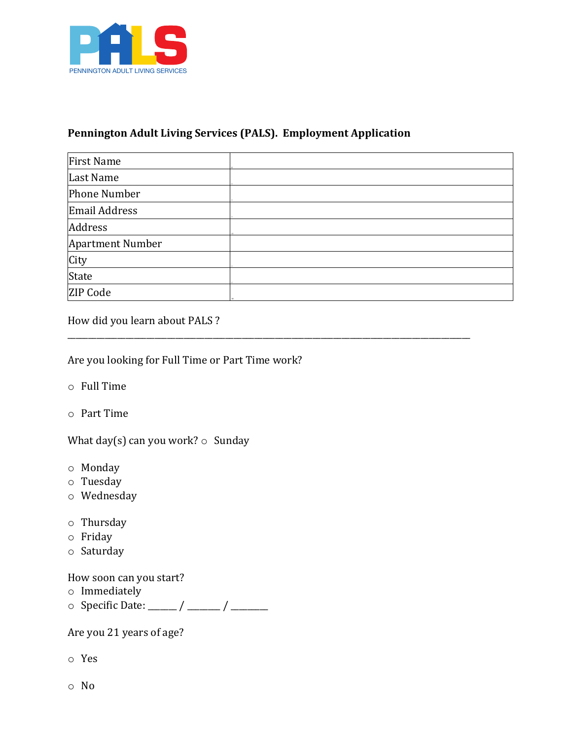

## **Pennington Adult Living Services (PALS). Employment Application**

| <b>First Name</b>       |  |
|-------------------------|--|
| Last Name               |  |
| <b>Phone Number</b>     |  |
| <b>Email Address</b>    |  |
| Address                 |  |
| <b>Apartment Number</b> |  |
| City                    |  |
| State                   |  |
| ZIP Code                |  |

\_\_\_\_\_\_\_\_\_\_\_\_\_\_\_\_\_\_\_\_\_\_\_\_\_\_\_\_\_\_\_\_\_\_\_\_\_\_\_\_\_\_\_\_\_\_\_\_\_\_\_\_\_\_\_\_\_\_\_\_\_\_\_\_\_\_\_\_\_\_\_\_\_\_\_\_\_\_\_\_\_\_\_\_\_\_\_\_\_\_\_\_\_\_\_\_\_ 

How did you learn about PALS ?

Are you looking for Full Time or Part Time work?

- $\circ$  Full Time
- $\circ$  Part Time

What day(s) can you work?  $\circ$  Sunday

- o Monday
- o Tuesday
- o Wednesday
- o Thursday
- o Friday
- o Saturday

How soon can you start?

- o Immediately
- $\circ$  Specific Date: \_\_\_\_\_ / \_\_\_\_\_ / \_\_\_\_\_\_\_

Are you 21 years of age?

- o Yes
- o No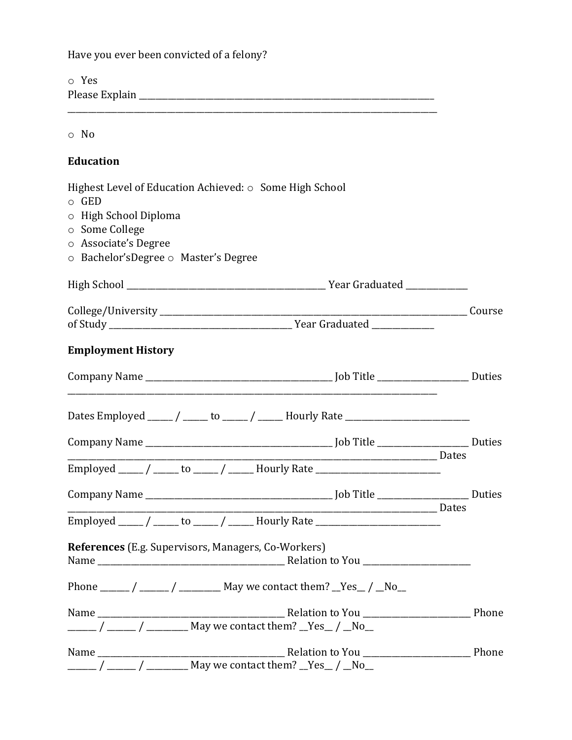Have you ever been convicted of a felony?  $\circ$  Yes Please Explain  $\circ$  No **Education** Highest Level of Education Achieved: o Some High School  $\circ$  GED o High School Diploma o Some College o Associate's Degree ○ Bachelor'sDegree ○ Master's Degree of Study and Study and Study and Study and Study and Study and Study and Study and Study and Study and Study and Study and Study and Study and Study and Study and Study and Study and Study and Study and Study and Study and **Employment History** Dates Employed \_\_\_\_\_ / \_\_\_\_\_ to \_\_\_\_\_ / \_\_\_\_\_ Hourly Rate \_\_\_\_\_\_\_\_\_\_\_\_\_\_\_\_\_\_\_\_\_\_ <u>no complete de la propincia de la propincia de la propincia de la propincia de la propincia de la propincia d</u> Employed \_\_\_\_\_ / \_\_\_\_\_ to \_\_\_\_\_ / \_\_\_\_\_ Hourly Rate \_\_\_\_\_\_\_\_\_\_\_\_\_\_\_\_\_\_\_\_\_\_\_\_\_\_\_\_\_ <u>\_\_\_\_\_\_\_\_\_\_\_\_\_\_\_\_\_\_\_\_\_\_\_\_\_\_</u>\_\_\_\_\_Dates Employed \_\_\_\_\_ / \_\_\_\_\_ to \_\_\_\_\_ / \_\_\_\_\_ Hourly Rate \_\_\_\_\_\_\_\_\_\_\_\_\_\_\_\_\_\_\_\_\_\_\_\_\_\_\_\_\_ References (E.g. Supervisors, Managers, Co-Workers) Name Relation to You